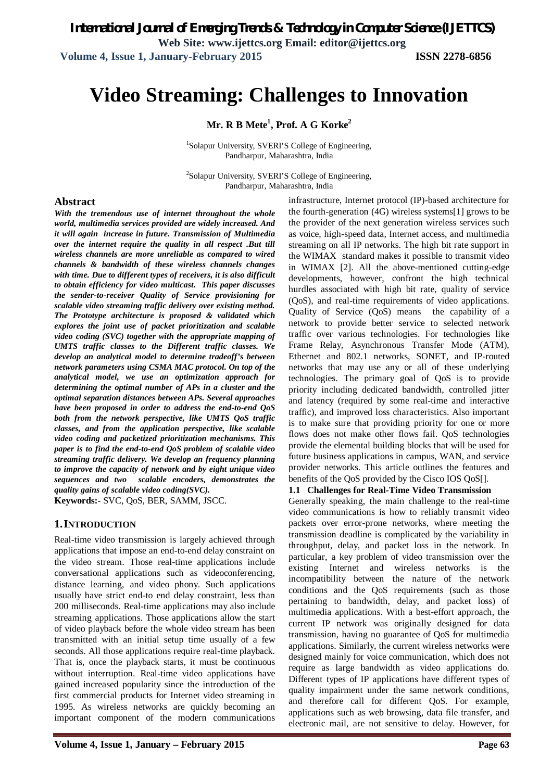# **Video Streaming: Challenges to Innovation**

**Mr. R B Mete<sup>1</sup> , Prof. A G Korke<sup>2</sup>**

<sup>1</sup>Solapur University, SVERI'S College of Engineering, Pandharpur, Maharashtra, India

<sup>2</sup>Solapur University, SVERI'S College of Engineering, Pandharpur, Maharashtra, India

## **Abstract**

*With the tremendous use of internet throughout the whole world, multimedia services provided are widely increased. And it will again increase in future. Transmission of Multimedia over the internet require the quality in all respect .But till wireless channels are more unreliable as compared to wired channels & bandwidth of these wireless channels changes with time. Due to different types of receivers, it is also difficult to obtain efficiency for video multicast. This paper discusses the sender-to-receiver Quality of Service provisioning for scalable video streaming traffic delivery over existing method. The Prototype architecture is proposed & validated which explores the joint use of packet prioritization and scalable video coding (SVC) together with the appropriate mapping of UMTS traffic classes to the Different traffic classes. We develop an analytical model to determine tradeoff's between network parameters using CSMA MAC protocol. On top of the analytical model, we use an optimization approach for determining the optimal number of APs in a cluster and the optimal separation distances between APs. Several approaches have been proposed in order to address the end-to-end QoS both from the network perspective, like UMTS QoS traffic classes, and from the application perspective, like scalable video coding and packetized prioritization mechanisms. This paper is to find the end-to-end QoS problem of scalable video streaming traffic delivery. We develop an frequency planning to improve the capacity of network and by eight unique video sequences and two scalable encoders, demonstrates the quality gains of scalable video coding(SVC).*

**Keywords:-** SVC, QoS, BER, SAMM, JSCC.

#### **1.INTRODUCTION**

Real-time video transmission is largely achieved through applications that impose an end-to-end delay constraint on the video stream. Those real-time applications include conversational applications such as videoconferencing, distance learning, and video phony. Such applications usually have strict end-to end delay constraint, less than 200 milliseconds. Real-time applications may also include streaming applications. Those applications allow the start of video playback before the whole video stream has been transmitted with an initial setup time usually of a few seconds. All those applications require real-time playback. That is, once the playback starts, it must be continuous without interruption. Real-time video applications have gained increased popularity since the introduction of the first commercial products for Internet video streaming in 1995. As wireless networks are quickly becoming an important component of the modern communications

infrastructure, Internet protocol (IP)-based architecture for the fourth-generation (4G) wireless systems[1] grows to be the provider of the next generation wireless services such as voice, high-speed data, Internet access, and multimedia streaming on all IP networks. The high bit rate support in the WIMAX standard makes it possible to transmit video in WIMAX [2]. All the above-mentioned cutting-edge developments, however, confront the high technical hurdles associated with high bit rate, quality of service (QoS), and real-time requirements of video applications. Quality of Service (QoS) means the capability of a network to provide better service to selected network traffic over various technologies. For technologies like Frame Relay, Asynchronous Transfer Mode (ATM), Ethernet and 802.1 networks, SONET, and IP-routed networks that may use any or all of these underlying technologies. The primary goal of QoS is to provide priority including dedicated bandwidth, controlled jitter and latency (required by some real-time and interactive traffic), and improved loss characteristics. Also important is to make sure that providing priority for one or more flows does not make other flows fail. QoS technologies provide the elemental building blocks that will be used for future business applications in campus, WAN, and service provider networks. This article outlines the features and benefits of the QoS provided by the Cisco IOS QoS[].

#### **1.1 Challenges for Real-Time Video Transmission**

Generally speaking, the main challenge to the real-time video communications is how to reliably transmit video packets over error-prone networks, where meeting the transmission deadline is complicated by the variability in throughput, delay, and packet loss in the network. In particular, a key problem of video transmission over the existing Internet and wireless networks is the incompatibility between the nature of the network conditions and the QoS requirements (such as those pertaining to bandwidth, delay, and packet loss) of multimedia applications. With a best-effort approach, the current IP network was originally designed for data transmission, having no guarantee of QoS for multimedia applications. Similarly, the current wireless networks were designed mainly for voice communication, which does not require as large bandwidth as video applications do. Different types of IP applications have different types of quality impairment under the same network conditions, and therefore call for different QoS. For example, applications such as web browsing, data file transfer, and electronic mail, are not sensitive to delay. However, for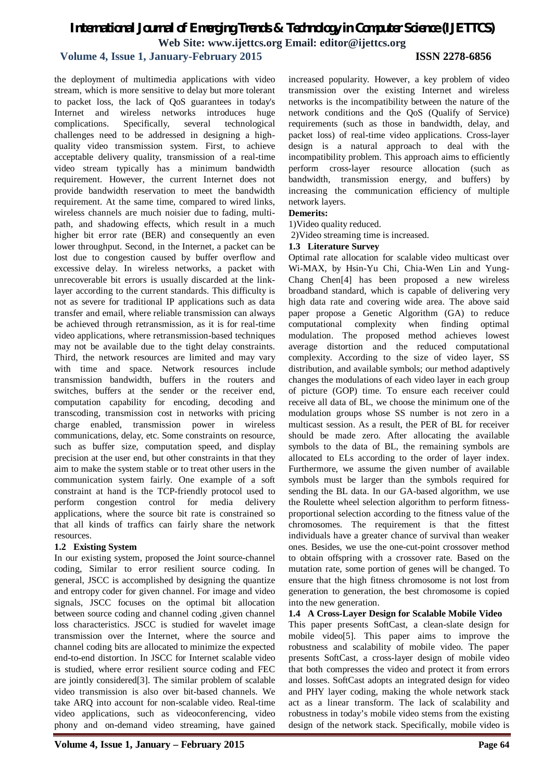## **Volume 4, Issue 1, January-February 2015 ISSN 2278-6856**

the deployment of multimedia applications with video stream, which is more sensitive to delay but more tolerant to packet loss, the lack of QoS guarantees in today's Internet and wireless networks introduces huge complications. Specifically, several technological challenges need to be addressed in designing a highquality video transmission system. First, to achieve acceptable delivery quality, transmission of a real-time video stream typically has a minimum bandwidth requirement. However, the current Internet does not provide bandwidth reservation to meet the bandwidth requirement. At the same time, compared to wired links, wireless channels are much noisier due to fading, multipath, and shadowing effects, which result in a much higher bit error rate (BER) and consequently an even lower throughput. Second, in the Internet, a packet can be lost due to congestion caused by buffer overflow and excessive delay. In wireless networks, a packet with unrecoverable bit errors is usually discarded at the linklayer according to the current standards. This difficulty is not as severe for traditional IP applications such as data transfer and email, where reliable transmission can always be achieved through retransmission, as it is for real-time video applications, where retransmission-based techniques may not be available due to the tight delay constraints. Third, the network resources are limited and may vary with time and space. Network resources include transmission bandwidth, buffers in the routers and switches, buffers at the sender or the receiver end, computation capability for encoding, decoding and transcoding, transmission cost in networks with pricing charge enabled, transmission power in wireless communications, delay, etc. Some constraints on resource, such as buffer size, computation speed, and display precision at the user end, but other constraints in that they aim to make the system stable or to treat other users in the communication system fairly. One example of a soft constraint at hand is the TCP-friendly protocol used to perform congestion control for media delivery applications, where the source bit rate is constrained so that all kinds of traffics can fairly share the network resources.

#### **1.2 Existing System**

In our existing system, proposed the Joint source-channel coding, Similar to error resilient source coding. In general, JSCC is accomplished by designing the quantize and entropy coder for given channel. For image and video signals, JSCC focuses on the optimal bit allocation between source coding and channel coding ,given channel loss characteristics. JSCC is studied for wavelet image transmission over the Internet, where the source and channel coding bits are allocated to minimize the expected end-to-end distortion. In JSCC for Internet scalable video is studied, where error resilient source coding and FEC are jointly considered[3]. The similar problem of scalable video transmission is also over bit-based channels. We take ARQ into account for non-scalable video. Real-time video applications, such as videoconferencing, video phony and on-demand video streaming, have gained

increased popularity. However, a key problem of video transmission over the existing Internet and wireless networks is the incompatibility between the nature of the network conditions and the QoS (Qualify of Service) requirements (such as those in bandwidth, delay, and packet loss) of real-time video applications. Cross-layer design is a natural approach to deal with the incompatibility problem. This approach aims to efficiently perform cross-layer resource allocation (such as bandwidth, transmission energy, and buffers) by increasing the communication efficiency of multiple network layers.

### **Demerits:**

1)Video quality reduced.

2)Video streaming time is increased.

#### **1.3 Literature Survey**

Optimal rate allocation for scalable video multicast over Wi-MAX, by Hsin-Yu Chi, Chia-Wen Lin and Yung-Chang Chen[4] has been proposed a new wireless broadband standard, which is capable of delivering very high data rate and covering wide area. The above said paper propose a Genetic Algorithm (GA) to reduce computational complexity when finding optimal modulation. The proposed method achieves lowest average distortion and the reduced computational complexity. According to the size of video layer, SS distribution, and available symbols; our method adaptively changes the modulations of each video layer in each group of picture (GOP) time. To ensure each receiver could receive all data of BL, we choose the minimum one of the modulation groups whose SS number is not zero in a multicast session. As a result, the PER of BL for receiver should be made zero. After allocating the available symbols to the data of BL, the remaining symbols are allocated to ELs according to the order of layer index. Furthermore, we assume the given number of available symbols must be larger than the symbols required for sending the BL data. In our GA-based algorithm, we use the Roulette wheel selection algorithm to perform fitnessproportional selection according to the fitness value of the chromosomes. The requirement is that the fittest individuals have a greater chance of survival than weaker ones. Besides, we use the one-cut-point crossover method to obtain offspring with a crossover rate. Based on the mutation rate, some portion of genes will be changed. To ensure that the high fitness chromosome is not lost from generation to generation, the best chromosome is copied into the new generation.

**1.4 A Cross-Layer Design for Scalable Mobile Video**

This paper presents SoftCast, a clean-slate design for mobile video[5]. This paper aims to improve the robustness and scalability of mobile video. The paper presents SoftCast, a cross-layer design of mobile video that both compresses the video and protect it from errors and losses. SoftCast adopts an integrated design for video and PHY layer coding, making the whole network stack act as a linear transform. The lack of scalability and robustness in today's mobile video stems from the existing design of the network stack. Specifically, mobile video is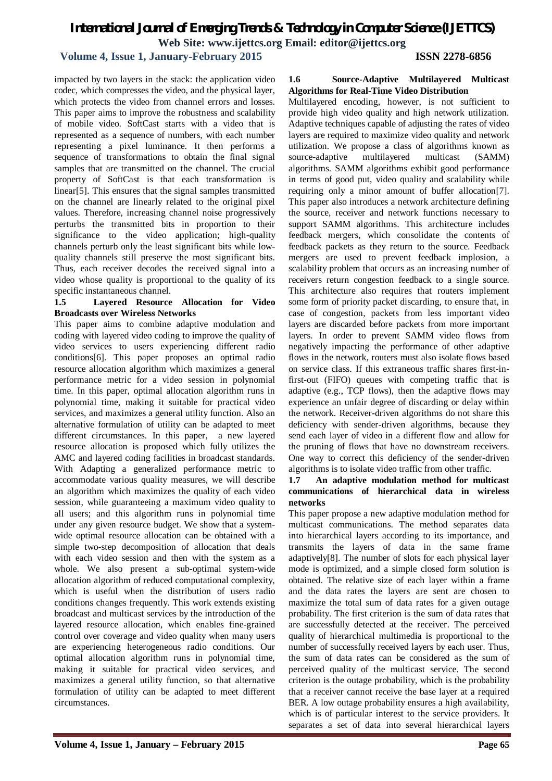# *International Journal of Emerging Trends & Technology in Computer Science (IJETTCS)*

**Web Site: www.ijettcs.org Email: editor@ijettcs.org** 

## **Volume 4, Issue 1, January-February 2015 ISSN 2278-6856**

impacted by two layers in the stack: the application video codec, which compresses the video, and the physical layer, which protects the video from channel errors and losses. This paper aims to improve the robustness and scalability of mobile video. SoftCast starts with a video that is represented as a sequence of numbers, with each number representing a pixel luminance. It then performs a sequence of transformations to obtain the final signal samples that are transmitted on the channel. The crucial property of SoftCast is that each transformation is linear[5]. This ensures that the signal samples transmitted on the channel are linearly related to the original pixel values. Therefore, increasing channel noise progressively perturbs the transmitted bits in proportion to their significance to the video application; high-quality channels perturb only the least significant bits while lowquality channels still preserve the most significant bits. Thus, each receiver decodes the received signal into a video whose quality is proportional to the quality of its specific instantaneous channel.

### **1.5 Layered Resource Allocation for Video Broadcasts over Wireless Networks**

This paper aims to combine adaptive modulation and coding with layered video coding to improve the quality of video services to users experiencing different radio conditions[6]. This paper proposes an optimal radio resource allocation algorithm which maximizes a general performance metric for a video session in polynomial time. In this paper, optimal allocation algorithm runs in polynomial time, making it suitable for practical video services, and maximizes a general utility function. Also an alternative formulation of utility can be adapted to meet different circumstances. In this paper, a new layered resource allocation is proposed which fully utilizes the AMC and layered coding facilities in broadcast standards. With Adapting a generalized performance metric to accommodate various quality measures, we will describe an algorithm which maximizes the quality of each video session, while guaranteeing a maximum video quality to all users; and this algorithm runs in polynomial time under any given resource budget. We show that a systemwide optimal resource allocation can be obtained with a simple two-step decomposition of allocation that deals with each video session and then with the system as a whole. We also present a sub-optimal system-wide allocation algorithm of reduced computational complexity, which is useful when the distribution of users radio conditions changes frequently. This work extends existing broadcast and multicast services by the introduction of the layered resource allocation, which enables fine-grained control over coverage and video quality when many users are experiencing heterogeneous radio conditions. Our optimal allocation algorithm runs in polynomial time, making it suitable for practical video services, and maximizes a general utility function, so that alternative formulation of utility can be adapted to meet different circumstances.

### **1.6 Source-Adaptive Multilayered Multicast Algorithms for Real-Time Video Distribution**

Multilayered encoding, however, is not sufficient to provide high video quality and high network utilization. Adaptive techniques capable of adjusting the rates of video layers are required to maximize video quality and network utilization. We propose a class of algorithms known as source-adaptive multilayered multicast (SAMM) algorithms. SAMM algorithms exhibit good performance in terms of good put, video quality and scalability while requiring only a minor amount of buffer allocation[7]. This paper also introduces a network architecture defining the source, receiver and network functions necessary to support SAMM algorithms. This architecture includes feedback mergers, which consolidate the contents of feedback packets as they return to the source. Feedback mergers are used to prevent feedback implosion, a scalability problem that occurs as an increasing number of receivers return congestion feedback to a single source. This architecture also requires that routers implement some form of priority packet discarding, to ensure that, in case of congestion, packets from less important video layers are discarded before packets from more important layers. In order to prevent SAMM video flows from negatively impacting the performance of other adaptive flows in the network, routers must also isolate flows based on service class. If this extraneous traffic shares first-infirst-out (FIFO) queues with competing traffic that is adaptive (e.g., TCP flows), then the adaptive flows may experience an unfair degree of discarding or delay within the network. Receiver-driven algorithms do not share this deficiency with sender-driven algorithms, because they send each layer of video in a different flow and allow for the pruning of flows that have no downstream receivers. One way to correct this deficiency of the sender-driven algorithms is to isolate video traffic from other traffic.

## **1.7 An adaptive modulation method for multicast communications of hierarchical data in wireless networks**

This paper propose a new adaptive modulation method for multicast communications. The method separates data into hierarchical layers according to its importance, and transmits the layers of data in the same frame adaptively[8]. The number of slots for each physical layer mode is optimized, and a simple closed form solution is obtained. The relative size of each layer within a frame and the data rates the layers are sent are chosen to maximize the total sum of data rates for a given outage probability. The first criterion is the sum of data rates that are successfully detected at the receiver. The perceived quality of hierarchical multimedia is proportional to the number of successfully received layers by each user. Thus, the sum of data rates can be considered as the sum of perceived quality of the multicast service. The second criterion is the outage probability, which is the probability that a receiver cannot receive the base layer at a required BER. A low outage probability ensures a high availability, which is of particular interest to the service providers. It separates a set of data into several hierarchical layers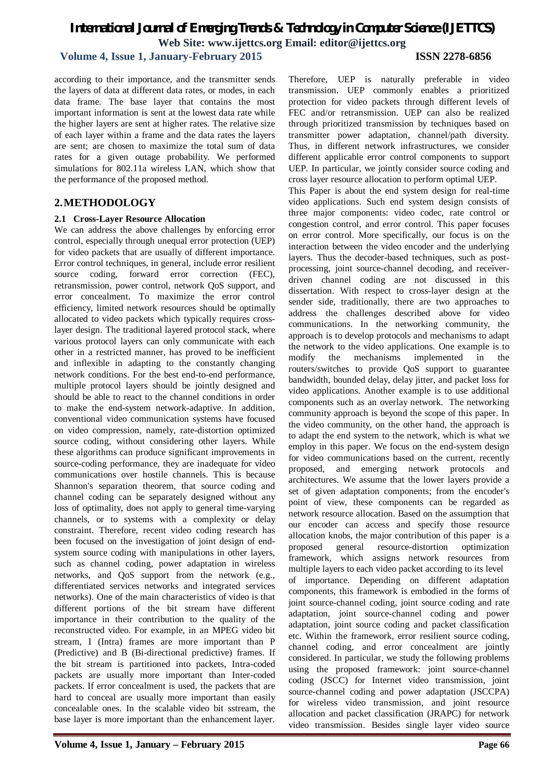## **Volume 4, Issue 1, January-February 2015 ISSN 2278-6856**

according to their importance, and the transmitter sends the layers of data at different data rates, or modes, in each data frame. The base layer that contains the most important information is sent at the lowest data rate while the higher layers are sent at higher rates. The relative size of each layer within a frame and the data rates the layers are sent; are chosen to maximize the total sum of data rates for a given outage probability. We performed simulations for 802.11a wireless LAN, which show that the performance of the proposed method.

## **2.METHODOLOGY**

## **2.1 Cross-Layer Resource Allocation**

We can address the above challenges by enforcing error control, especially through unequal error protection (UEP) for video packets that are usually of different importance. Error control techniques, in general, include error resilient source coding, forward error correction (FEC), retransmission, power control, network QoS support, and error concealment. To maximize the error control efficiency, limited network resources should be optimally allocated to video packets which typically requires crosslayer design. The traditional layered protocol stack, where various protocol layers can only communicate with each other in a restricted manner, has proved to be inefficient and inflexible in adapting to the constantly changing network conditions. For the best end-to-end performance, multiple protocol layers should be jointly designed and should be able to react to the channel conditions in order to make the end-system network-adaptive. In addition, conventional video communication systems have focused on video compression, namely, rate-distortion optimized source coding, without considering other layers. While these algorithms can produce significant improvements in source-coding performance, they are inadequate for video communications over hostile channels. This is because Shannon's separation theorem, that source coding and channel coding can be separately designed without any loss of optimality, does not apply to general time-varying channels, or to systems with a complexity or delay constraint. Therefore, recent video coding research has been focused on the investigation of joint design of endsystem source coding with manipulations in other layers, such as channel coding, power adaptation in wireless networks, and QoS support from the network (e.g., differentiated services networks and integrated services networks). One of the main characteristics of video is that different portions of the bit stream have different importance in their contribution to the quality of the reconstructed video. For example, in an MPEG video bit stream, I (Intra) frames are more important than P (Predictive) and B (Bi-directional predictive) frames. If the bit stream is partitioned into packets, Intra-coded packets are usually more important than Inter-coded packets. If error concealment is used, the packets that are hard to conceal are usually more important than easily concealable ones. In the scalable video bit sstream, the base layer is more important than the enhancement layer.

Therefore, UEP is naturally preferable in video transmission. UEP commonly enables a prioritized protection for video packets through different levels of FEC and/or retransmission. UEP can also be realized through prioritized transmission by techniques based on transmitter power adaptation, channel/path diversity. Thus, in different network infrastructures, we consider different applicable error control components to support UEP. In particular, we jointly consider source coding and

cross layer resource allocation to perform optimal UEP. This Paper is about the end system design for real-time video applications. Such end system design consists of three major components: video codec, rate control or congestion control, and error control. This paper focuses on error control. More specifically, our focus is on the interaction between the video encoder and the underlying layers. Thus the decoder-based techniques, such as postprocessing, joint source-channel decoding, and receiverdriven channel coding are not discussed in this dissertation. With respect to cross-layer design at the sender side, traditionally, there are two approaches to address the challenges described above for video communications. In the networking community, the approach is to develop protocols and mechanisms to adapt the network to the video applications. One example is to modify the mechanisms implemented in the routers/switches to provide QoS support to guarantee bandwidth, bounded delay, delay jitter, and packet loss for video applications. Another example is to use additional components such as an overlay network. The networking community approach is beyond the scope of this paper. In the video community, on the other hand, the approach is to adapt the end system to the network, which is what we employ in this paper. We focus on the end-system design for video communications based on the current, recently proposed, and emerging network protocols and architectures. We assume that the lower layers provide a set of given adaptation components; from the encoder's point of view, these components can be regarded as network resource allocation. Based on the assumption that our encoder can access and specify those resource allocation knobs, the major contribution of this paper is a proposed general resource-distortion optimization framework, which assigns network resources from multiple layers to each video packet according to its level of importance. Depending on different adaptation components, this framework is embodied in the forms of joint source-channel coding, joint source coding and rate adaptation, joint source-channel coding and power adaptation, joint source coding and packet classification etc. Within the framework, error resilient source coding, channel coding, and error concealment are jointly considered. In particular, we study the following problems using the proposed framework: joint source-channel coding (JSCC) for Internet video transmission, joint source-channel coding and power adaptation (JSCCPA) for wireless video transmission, and joint resource allocation and packet classification (JRAPC) for network video transmission. Besides single layer video source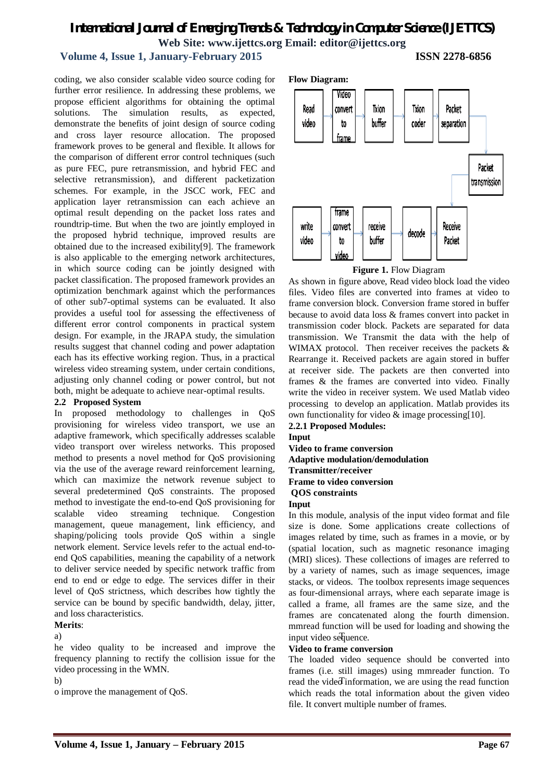## **Volume 4, Issue 1, January-February 2015 ISSN 2278-6856**

coding, we also consider scalable video source coding for further error resilience. In addressing these problems, we propose efficient algorithms for obtaining the optimal solutions. The simulation results, as expected, demonstrate the benefits of joint design of source coding and cross layer resource allocation. The proposed framework proves to be general and flexible. It allows for the comparison of different error control techniques (such as pure FEC, pure retransmission, and hybrid FEC and selective retransmission), and different packetization schemes. For example, in the JSCC work, FEC and application layer retransmission can each achieve an optimal result depending on the packet loss rates and roundtrip-time. But when the two are jointly employed in the proposed hybrid technique, improved results are obtained due to the increased exibility[9]. The framework is also applicable to the emerging network architectures, in which source coding can be jointly designed with packet classification. The proposed framework provides an optimization benchmark against which the performances of other sub7-optimal systems can be evaluated. It also provides a useful tool for assessing the effectiveness of different error control components in practical system design. For example, in the JRAPA study, the simulation results suggest that channel coding and power adaptation each has its effective working region. Thus, in a practical wireless video streaming system, under certain conditions, adjusting only channel coding or power control, but not both, might be adequate to achieve near-optimal results.

#### **2.2 Proposed System**

In proposed methodology to challenges in QoS provisioning for wireless video transport, we use an adaptive framework, which specifically addresses scalable video transport over wireless networks. This proposed method to presents a novel method for QoS provisioning via the use of the average reward reinforcement learning, which can maximize the network revenue subject to several predetermined QoS constraints. The proposed method to investigate the end-to-end QoS provisioning for scalable video streaming technique. Congestion management, queue management, link efficiency, and shaping/policing tools provide QoS within a single network element. Service levels refer to the actual end-toend QoS capabilities, meaning the capability of a network to deliver service needed by specific network traffic from end to end or edge to edge. The services differ in their level of QoS strictness, which describes how tightly the service can be bound by specific bandwidth, delay, jitter, and loss characteristics. **Merits**:

he video quality to be increased and improve the frequency planning to rectify the collision issue for the video processing in the WMN.

o improve the management of QoS.



**Figure 1. Flow Diagram** 

As shown in figure above, Read video block load the video files. Video files are converted into frames at video to frame conversion block. Conversion frame stored in buffer because to avoid data loss & frames convert into packet in transmission coder block. Packets are separated for data transmission. We Transmit the data with the help of WIMAX protocol. Then receiver receives the packets & Rearrange it. Received packets are again stored in buffer at receiver side. The packets are then converted into frames & the frames are converted into video. Finally write the video in receiver system. We used Matlab video processing to develop an application. Matlab provides its own functionality for video & image processing[10].

## **2.2.1 Proposed Modules:**

**Input** 

**Video to frame conversion**

**Adaptive modulation/demodulation**

**Transmitter/receiver**

## **Frame to video conversion**

## **QOS constraints**

**Input** 

a) and the contract of the contract of the contract of the sequence. In this module, analysis of the input video format and file size is done. Some applications create collections of images related by time, such as frames in a movie, or by (spatial location, such as magnetic resonance imaging (MRI) slices). These collections of images are referred to by a variety of names, such as image sequences, image stacks, or videos. The toolbox represents image sequences as four-dimensional arrays, where each separate image is called a frame, all frames are the same size, and the frames are concatenated along the fourth dimension. mmread function will be used for loading and showing the

#### **Video to frame conversion**

b) read the vided information, we are using the read function The loaded video sequence should be converted into frames (i.e. still images) using mmreader function. To which reads the total information about the given video file. It convert multiple number of frames.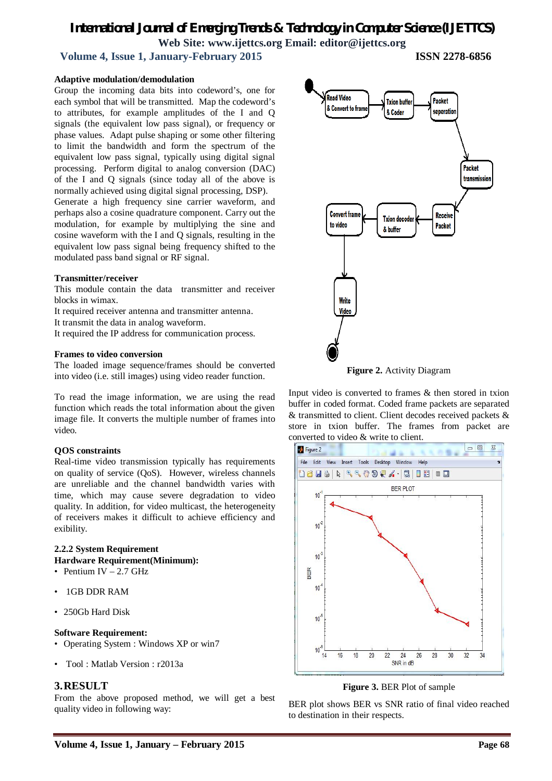**Volume 4, Issue 1, January-February 2015 ISSN 2278-6856**

#### **Adaptive modulation/demodulation**

Group the incoming data bits into codeword's, one for each symbol that will be transmitted. Map the codeword's to attributes, for example amplitudes of the I and Q signals (the equivalent low pass signal), or frequency or phase values. Adapt pulse shaping or some other filtering to limit the bandwidth and form the spectrum of the equivalent low pass signal, typically using digital signal processing. Perform digital to analog conversion (DAC) of the I and Q signals (since today all of the above is normally achieved using digital signal processing, DSP).

Generate a high frequency sine carrier waveform, and perhaps also a cosine quadrature component. Carry out the modulation, for example by multiplying the sine and cosine waveform with the I and Q signals, resulting in the equivalent low pass signal being frequency shifted to the modulated pass band signal or RF signal.

#### **Transmitter/receiver**

This module contain the data transmitter and receiver blocks in wimax.

It required receiver antenna and transmitter antenna.

It transmit the data in analog waveform.

It required the IP address for communication process.

#### **Frames to video conversion**

The loaded image sequence/frames should be converted into video (i.e. still images) using video reader function.

To read the image information, we are using the read function which reads the total information about the given image file. It converts the multiple number of frames into video.

#### **QOS constraints**

Real-time video transmission typically has requirements on quality of service (QoS). However, wireless channels are unreliable and the channel bandwidth varies with time, which may cause severe degradation to video quality. In addition, for video multicast, the heterogeneity of receivers makes it difficult to achieve efficiency and exibility.

### **2.2.2 System Requirement Hardware Requirement(Minimum):**

- Pentium IV  $-2.7$  GHz
- 1GB DDR RAM
- 250Gb Hard Disk

#### **Software Requirement:**

- Operating System : Windows XP or win7
- Tool : Matlab Version : r2013a

### **3.RESULT**

From the above proposed method, we will get a best quality video in following way:



**Figure 2.** Activity Diagram

Input video is converted to frames & then stored in txion buffer in coded format. Coded frame packets are separated & transmitted to client. Client decodes received packets & store in txion buffer. The frames from packet are converted to video & write to client.



#### **Figure 3.** BER Plot of sample

BER plot shows BER vs SNR ratio of final video reached to destination in their respects.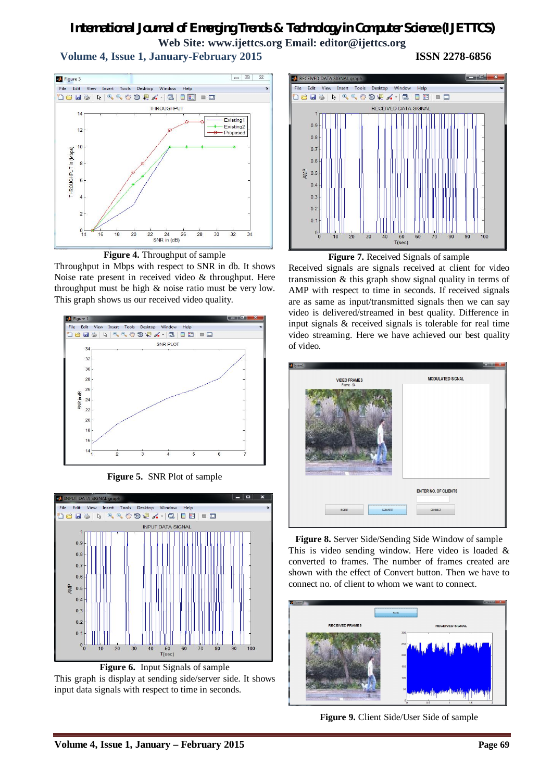**Volume 4, Issue 1, January-February 2015 ISSN 2278-6856**



**Figure 4.** Throughput of sample

Throughput in Mbps with respect to SNR in db. It shows Noise rate present in received video & throughput. Here throughput must be high & noise ratio must be very low. This graph shows us our received video quality.



**Figure 5.** SNR Plot of sample



**Figure 6.** Input Signals of sample This graph is display at sending side/server side. It shows input data signals with respect to time in seconds.





Received signals are signals received at client for video transmission & this graph show signal quality in terms of AMP with respect to time in seconds. If received signals are as same as input/transmitted signals then we can say video is delivered/streamed in best quality. Difference in input signals & received signals is tolerable for real time video streaming. Here we have achieved our best quality of video.

| System1                                                          | $\begin{picture}(180,10) \put(0,0){\line(1,0){10}} \put(10,0){\line(1,0){10}} \put(10,0){\line(1,0){10}} \put(10,0){\line(1,0){10}} \put(10,0){\line(1,0){10}} \put(10,0){\line(1,0){10}} \put(10,0){\line(1,0){10}} \put(10,0){\line(1,0){10}} \put(10,0){\line(1,0){10}} \put(10,0){\line(1,0){10}} \put(10,0){\line(1,0){10}} \put(10,0){\line($ |
|------------------------------------------------------------------|-----------------------------------------------------------------------------------------------------------------------------------------------------------------------------------------------------------------------------------------------------------------------------------------------------------------------------------------------------|
| <b>VIDEO FRAMES</b>                                              | <b>MODULATED SIGNAL</b>                                                                                                                                                                                                                                                                                                                             |
| Frame - 54<br><b>The Company's Company's Company's Company's</b> |                                                                                                                                                                                                                                                                                                                                                     |
|                                                                  | <b>ENTER NO. OF CLIENTS</b>                                                                                                                                                                                                                                                                                                                         |
| CONVERT<br><b>INSERT</b>                                         | CONNECT                                                                                                                                                                                                                                                                                                                                             |

**Figure 8.** Server Side/Sending Side Window of sample This is video sending window. Here video is loaded & converted to frames. The number of frames created are shown with the effect of Convert button. Then we have to connect no. of client to whom we want to connect.



**Figure 9.** Client Side/User Side of sample